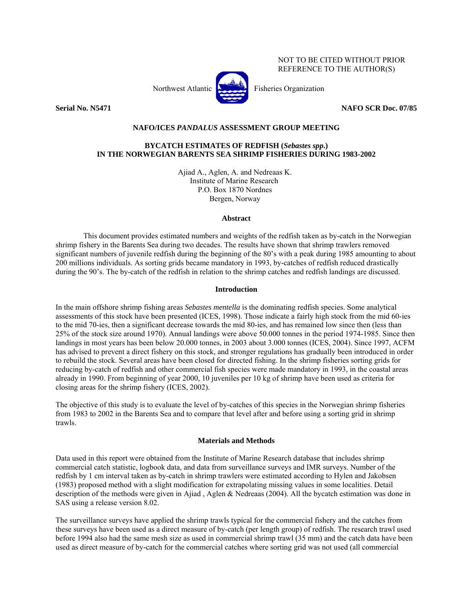NOT TO BE CITED WITHOUT PRIOR REFERENCE TO THE AUTHOR(S)

Northwest Atlantic Fisheries Organization



### **Serial No. N5471 NAFO SCR Doc. 07/85**

## **NAFO/ICES** *PANDALUS* **ASSESSMENT GROUP MEETING**

# **BYCATCH ESTIMATES OF REDFISH (***Sebastes spp***.) IN THE NORWEGIAN BARENTS SEA SHRIMP FISHERIES DURING 1983-2002**

Ajiad A., Aglen, A. and Nedreaas K. Institute of Marine Research P.O. Box 1870 Nordnes Bergen, Norway

#### **Abstract**

 This document provides estimated numbers and weights of the redfish taken as by-catch in the Norwegian shrimp fishery in the Barents Sea during two decades. The results have shown that shrimp trawlers removed significant numbers of juvenile redfish during the beginning of the 80's with a peak during 1985 amounting to about 200 millions individuals. As sorting grids became mandatory in 1993, by-catches of redfish reduced drastically during the 90's. The by-catch of the redfish in relation to the shrimp catches and redfish landings are discussed.

### **Introduction**

In the main offshore shrimp fishing areas *Sebastes mentella* is the dominating redfish species. Some analytical assessments of this stock have been presented (ICES, 1998). Those indicate a fairly high stock from the mid 60-ies to the mid 70-ies, then a significant decrease towards the mid 80-ies, and has remained low since then (less than 25% of the stock size around 1970). Annual landings were above 50.000 tonnes in the period 1974-1985. Since then landings in most years has been below 20.000 tonnes, in 2003 about 3.000 tonnes (ICES, 2004). Since 1997, ACFM has advised to prevent a direct fishery on this stock, and stronger regulations has gradually been introduced in order to rebuild the stock. Several areas have been closed for directed fishing. In the shrimp fisheries sorting grids for reducing by-catch of redfish and other commercial fish species were made mandatory in 1993, in the coastal areas already in 1990. From beginning of year 2000, 10 juveniles per 10 kg of shrimp have been used as criteria for closing areas for the shrimp fishery (ICES, 2002).

The objective of this study is to evaluate the level of by-catches of this species in the Norwegian shrimp fisheries from 1983 to 2002 in the Barents Sea and to compare that level after and before using a sorting grid in shrimp trawls.

#### **Materials and Methods**

Data used in this report were obtained from the Institute of Marine Research database that includes shrimp commercial catch statistic, logbook data, and data from surveillance surveys and IMR surveys. Number of the redfish by 1 cm interval taken as by-catch in shrimp trawlers were estimated according to Hylen and Jakobsen (1983) proposed method with a slight modification for extrapolating missing values in some localities. Detail description of the methods were given in Ajiad , Aglen & Nedreaas (2004). All the bycatch estimation was done in SAS using a release version 8.02.

The surveillance surveys have applied the shrimp trawls typical for the commercial fishery and the catches from these surveys have been used as a direct measure of by-catch (per length group) of redfish. The research trawl used before 1994 also had the same mesh size as used in commercial shrimp trawl (35 mm) and the catch data have been used as direct measure of by-catch for the commercial catches where sorting grid was not used (all commercial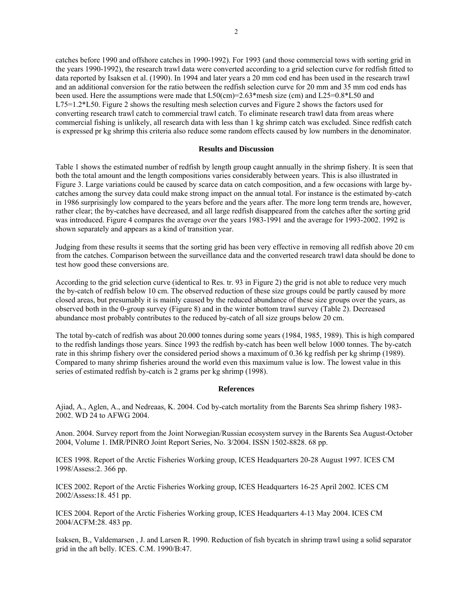catches before 1990 and offshore catches in 1990-1992). For 1993 (and those commercial tows with sorting grid in the years 1990-1992), the research trawl data were converted according to a grid selection curve for redfish fitted to data reported by Isaksen et al. (1990). In 1994 and later years a 20 mm cod end has been used in the research trawl and an additional conversion for the ratio between the redfish selection curve for 20 mm and 35 mm cod ends has been used. Here the assumptions were made that  $L50$ (cm)=2.63\*mesh size (cm) and  $L25=0.8*L50$  and L75=1.2\*L50. Figure 2 shows the resulting mesh selection curves and Figure 2 shows the factors used for converting research trawl catch to commercial trawl catch. To eliminate research trawl data from areas where commercial fishing is unlikely, all research data with less than 1 kg shrimp catch was excluded. Since redfish catch is expressed pr kg shrimp this criteria also reduce some random effects caused by low numbers in the denominator.

#### **Results and Discussion**

Table 1 shows the estimated number of redfish by length group caught annually in the shrimp fishery. It is seen that both the total amount and the length compositions varies considerably between years. This is also illustrated in Figure 3. Large variations could be caused by scarce data on catch composition, and a few occasions with large bycatches among the survey data could make strong impact on the annual total. For instance is the estimated by-catch in 1986 surprisingly low compared to the years before and the years after. The more long term trends are, however, rather clear; the by-catches have decreased, and all large redfish disappeared from the catches after the sorting grid was introduced. Figure 4 compares the average over the years 1983-1991 and the average for 1993-2002. 1992 is shown separately and appears as a kind of transition year.

Judging from these results it seems that the sorting grid has been very effective in removing all redfish above 20 cm from the catches. Comparison between the surveillance data and the converted research trawl data should be done to test how good these conversions are.

According to the grid selection curve (identical to Res. tr. 93 in Figure 2) the grid is not able to reduce very much the by-catch of redfish below 10 cm. The observed reduction of these size groups could be partly caused by more closed areas, but presumably it is mainly caused by the reduced abundance of these size groups over the years, as observed both in the 0-group survey (Figure 8) and in the winter bottom trawl survey (Table 2). Decreased abundance most probably contributes to the reduced by-catch of all size groups below 20 cm.

The total by-catch of redfish was about 20.000 tonnes during some years (1984, 1985, 1989). This is high compared to the redfish landings those years. Since 1993 the redfish by-catch has been well below 1000 tonnes. The by-catch rate in this shrimp fishery over the considered period shows a maximum of 0.36 kg redfish per kg shrimp (1989). Compared to many shrimp fisheries around the world even this maximum value is low. The lowest value in this series of estimated redfish by-catch is 2 grams per kg shrimp (1998).

### **References**

Ajiad, A., Aglen, A., and Nedreaas, K. 2004. Cod by-catch mortality from the Barents Sea shrimp fishery 1983- 2002. WD 24 to AFWG 2004.

Аnоn. 2004. Survey report from the Joint Norwegian/Russian ecosystem survey in the Barents Sea August-October 2004, Volume 1. IMR/PINRO Joint Report Series, No. З/2004. ISSN 1502-8828. 68 pp.

ICES 1998. Report of the Arctic Fisheries Working group, ICES Headquarters 20-28 August 1997. ICES CM 1998/Assess:2. 366 pp.

ICES 2002. Report of the Arctic Fisheries Working group, ICES Headquarters 16-25 April 2002. ICES CM 2002/Assess:18. 451 pp.

ICES 2004. Report of the Arctic Fisheries Working group, ICES Headquarters 4-13 May 2004. ICES CM 2004/ACFM:28. 483 pp.

Isaksen, B., Valdemarsen , J. and Larsen R. 1990. Reduction of fish bycatch in shrimp trawl using a solid separator grid in the aft belly. ICES. C.M. 1990/B:47.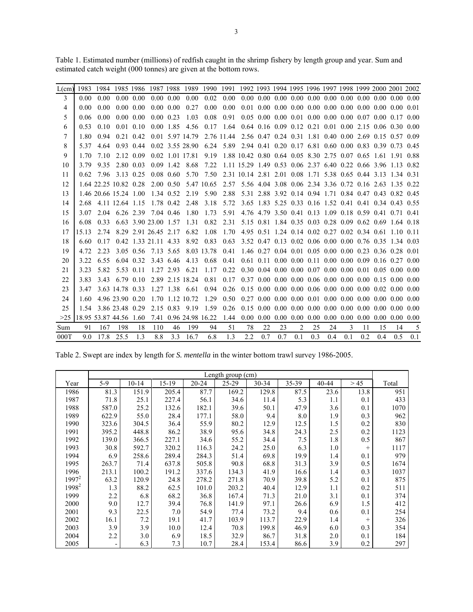| L(cm) | 1983  | 1984              | 1985 1986             |      | 1987 1988       |                   | 1989                  |            | 1990 1991  | 1992 1993 1994 1995 1996 1997 1998 1999 2000 2001 2002 |                                                                                                            |                |                   |                                      |           |                   |                              |      |           |               |
|-------|-------|-------------------|-----------------------|------|-----------------|-------------------|-----------------------|------------|------------|--------------------------------------------------------|------------------------------------------------------------------------------------------------------------|----------------|-------------------|--------------------------------------|-----------|-------------------|------------------------------|------|-----------|---------------|
| 3     | 0.00  | 0.00              | $0.00 -$              | 0.00 |                 | $0.00 \quad 0.00$ | 0.00                  | 0.02       | 0.00       |                                                        | $0.00\quad 0.00\quad 0.00\quad 0.00\quad 0.00\quad 0.00\quad 0.00\quad 0.00\quad 0.00\quad 0.00\quad 0.00$ |                |                   |                                      |           |                   |                              |      |           |               |
| 4     | 0.00  | 0.00              | 0.00                  | 0.00 |                 | $0.00 \pm 0.00$   | 0.27                  | 0.00       | 0.00       | 0.01                                                   | $0.00\ 0.00\ 0.00\ 0.00$                                                                                   |                |                   |                                      | 0.00      |                   | $0.00 \pm 0.00$              | 0.00 | 0.00      | 0.01          |
| 5     | 0.06  | 0.00              | 0.00                  | 0.00 | $0.00 -$        | 0.23              | 1.03                  | 0.08       | 0.91       |                                                        | $0.05$ 0.00 0.00 0.01                                                                                      |                |                   | $0.00 \, 0.00$                       |           | $0.00 \quad 0.07$ |                              | 0.00 | 0.17      | 0.00          |
| 6     | 0.53  | 0.10              | 0.01                  | 0.10 | $0.00 -$        | 1.85              | 4.56                  | 0.17       | 1.64       |                                                        | $0.64$ 0.16 0.09                                                                                           |                | $0.12 \quad 0.21$ |                                      | 0.01      |                   | $0.00\;\;2.15$               | 0.06 | 0.30      | 0.00          |
| 7     | 1.80  | 0.94              | 0.21                  | 0.42 | 0.01            |                   | 5.97 14.79            |            | 2.76 11.44 |                                                        | 2.56 0.47 0.24 0.31                                                                                        |                |                   |                                      | 1.81 0.40 |                   | $0.00\text{ }2.69$           | 0.15 |           | 0.57 0.09     |
| 8     | 537   | 4.64              | 0.93                  | 0.44 |                 |                   | 0.02 3.55 2.8.90      | 6.24       | 5.89       |                                                        | 2.94 0.41 0.20 0.17                                                                                        |                |                   |                                      | 6.81 0.60 |                   | 0.00 0.83 0.39               |      | 0.73      | 0.45          |
| 9     | 1.70  | 7.10              | 2.12                  | 0.09 | 0.02            |                   | 1.01 17.81            | 9.19       |            | 1.88 10.42 0.80 0.64 0.05 8.30 2.75                    |                                                                                                            |                |                   |                                      |           |                   | 0.07 0.65                    | 1.61 | 191       | 0.88          |
| 10    | 3.79  | 935               | 2.80                  | 0.03 | 0.09            | 1.42              | 8.68                  | 7.22       |            | 1.11 15.29 1.49 0.53 0.06 2.37 6.40                    |                                                                                                            |                |                   |                                      |           |                   | 0.22 0.66 3.96               |      | 1 1 3     | 0.82          |
| 11    | 0.62  | 7.96              | 3.13                  | 0.25 |                 | $0.08$ 0.60       | 5.70                  | 7.50       |            | 2.31 10.14 2.81 2.01 0.08 1.71 5.38 0.65 0.44 3.13     |                                                                                                            |                |                   |                                      |           |                   |                              |      |           | 1.34 0.31     |
| 12    |       |                   | 1.64 22.25 10.82 0.28 |      |                 | $2.00 \quad 0.50$ |                       | 5.47 10.65 | 2.57       |                                                        | 5.56 4.04 3.08 0.06 2.34 3.36 0.72 0.16 2.63                                                               |                |                   |                                      |           |                   |                              |      |           | 1.35 0.22     |
| 13    |       |                   | 1.46 20.66 15.24 1.00 |      |                 | 1.34 0.52         | 2.19                  | 5.90       | 2.88       | 5.31                                                   | 2.88 3.92                                                                                                  |                |                   | 0.14 0.94 1.71                       |           |                   | 0.84 0.47                    | 0.43 | 0.82      | 0.45          |
| 14    | 2.68  |                   | 4 11 12 64 1 15       |      | 1.78            | 0.42              | 2.48                  | 3.18       | 5.72       |                                                        | 3.65 1.83                                                                                                  | 5.25 0.33 0.16 |                   |                                      | 1.52      |                   | 0.41 0.41 0.34               |      |           | 0.43 0.55     |
| 15    | 3.07  | 2.04              | 6.26                  | 2.39 | 7.04            | 0.46              | 1.80                  | 1.73       | 5.91       |                                                        | 4.76 4.79                                                                                                  | 3.50 0.41      |                   | 0.13                                 | 1.09      |                   | 0.18 0.59                    | 0.41 | 0.71      | 0.41          |
| 16    | 6.08  | 0.33              | 6.63                  |      | 3.90 23.00      | 1.57              | 1.31                  | 0.82       | 2.31       |                                                        | 5.15 0.81                                                                                                  |                | 1.84 0.35 0.03    |                                      | 0.28      |                   | $0.09$ $0.62$ $0.69$         |      |           | 1.64 0.18     |
| 17    | 15 13 | 2.74              |                       |      | 8.29 2.91 26.45 | 2.17              | 6.82                  | 1.08       | 1.70       |                                                        | 4.95 0.51 1.24 0.14 0.02 0.27                                                                              |                |                   |                                      |           |                   | $0.02 \quad 0.34 \quad 0.61$ |      |           | 1 10 0 11     |
| 18    | 6.60  | 0.17              | 0.42                  |      | 1 33 21 11      | 4.33              | 8.92                  | 0.83       | 0.63       |                                                        | 3.52 0.47 0.13 0.02 0.06 0.00 0.00 0.76 0.35                                                               |                |                   |                                      |           |                   |                              |      |           | 1.34 0.03     |
| 19    | 4.72  | 2.23              | 3.05                  | 0.56 | 7.13            | 5.65              |                       | 8.03 13.78 | 0.41       |                                                        | 1.46 0.27                                                                                                  |                |                   | $0.04$ 0.01 0.05 0.00                |           |                   | 0.00 0.23                    |      | 0.36 0.28 | 0.01          |
| 20    | 3.22  | 6.55              | 6.04                  | 0.32 | 3.43            | 6.46              | 4.13                  | 0.68       | 0.41       |                                                        | $0.61 \cdot 0.11$                                                                                          |                |                   | $0.00 \quad 0.00 \quad 0.11$         | 0.00      |                   | $0.00 \quad 0.09$            | 0.16 |           | $0.27 \ 0.00$ |
| 21    | 3.23  | 5.82              | 5.53                  | 0.11 | 1.27            | 2.93              | 6.21                  | 1.17       | 0.22       |                                                        | 0.30 0.04 0.00 0.00 0.07 0.00 0.00 0.01 0.05                                                               |                |                   |                                      |           |                   |                              |      | 0.00      | 0.00          |
| 22    | 3.83  | 3.43              | 6.79                  | 0.10 | 2.89            |                   | 2.15 18.24            | 0.81       | 0.17       |                                                        | $0.37$ 0.00 0.00 0.00 0.06 0.00                                                                            |                |                   |                                      |           |                   | $0.00 \quad 0.00$            | 0.15 | 0.00      | 0.00          |
| 23    | 347   |                   | 3.63 14.78            | 0.33 | 127             | 1.38              | 6.61                  | 0.94       | 0.26       |                                                        | $0.15\ 0.00\ 0.00\ 0.00\ 0.06\ 0.00$                                                                       |                |                   |                                      |           |                   | $0.00 \quad 0.00$            | 0.02 | 0.00      | 0.00          |
| 24    | 1.60  |                   | 4.96 23.90            | 0.20 | 1.70            |                   | 1.12 10.72            | 1.29       | 0.50       | 0.27                                                   | 0.00                                                                                                       |                | $0.00 \quad 0.00$ | 0.01                                 | 0.00      |                   | $0.00 \quad 0.00$            | 0.00 | 0.00      | 0.00          |
| 25    | 1.54  |                   | 3.86 23.48 0.29       |      | 2.15            | 0.83              | 9.19                  | 1.59       | 0.26       | 0.15                                                   | 0.00 0.00 0.00                                                                                             |                |                   | 0.00                                 | 0.00      |                   | 0.00 0.00                    | 0.00 | 0.00      | 0.00          |
| >25   |       | 18.95 53.87 44.56 |                       | 1.60 |                 |                   | 7.41 0.96 24.98 16.22 |            | 1.44       |                                                        | $0.00 \quad 0.00$                                                                                          |                |                   | $0.00\quad 0.00\quad 0.00\quad 0.00$ |           |                   | $0.00 \quad 0.00$            | 0.00 | 0.00      | 0.00          |
| Sum   | 91    | 167               | 198                   | 18   | 110             | 46                | 199                   | 94         | 51         | 78                                                     | 22                                                                                                         | 23             | $\mathfrak{D}$    | 25                                   | 24        | 3                 | 11                           | 15   | 14        | 5             |
| 000T  | 9.0   | 17.8              | 25.5                  | 1.3  | 8.8             | 3.3               | 16.7                  | 6.8        | 1.3        | 2.2                                                    | 0.7                                                                                                        | 0.7            | 0.1               | 0.3                                  | 0.4       | 0.1               | 0.2                          | 0.4  | 0.5       | 0.1           |

Table 1. Estimated number (millions) of redfish caught in the shrimp fishery by length group and year. Sum and estimated catch weight (000 tonnes) are given at the bottom rows.

Table 2. Swept are index by length for *S. mentella* in the winter bottom trawl survey 1986-2005.

|                   | Length group (cm) |           |       |           |       |       |                    |       |        |       |  |
|-------------------|-------------------|-----------|-------|-----------|-------|-------|--------------------|-------|--------|-------|--|
| Year              | 5-9               | $10 - 14$ | 15-19 | $20 - 24$ | 25-29 | 30-34 | 35-39              | 40-44 | > 45   | Total |  |
| 1986              | 81.3              | 151.9     | 205.4 | 87.7      | 169.2 | 129.8 | 87.5               | 23.6  | 13.8   | 951   |  |
| 1987              | 71.8              | 25.1      | 227.4 | 56.1      | 34.6  | 11.4  | 5.3                | 1.1   | 0.1    | 433   |  |
| 1988              | 587.0             | 25.2      | 132.6 | 182.1     | 39.6  | 50.1  | 47.9               | 3.6   | 0.1    | 1070  |  |
| 1989              | 622.9             | 55.0      | 28.4  | 177.1     | 58.0  | 9.4   | $\boldsymbol{8.0}$ | 1.9   | 0.3    | 962   |  |
| 1990              | 323.6             | 304.5     | 36.4  | 55.9      | 80.2  | 12.9  | 12.5               | 1.5   | 0.2    | 830   |  |
| 1991              | 395.2             | 448.8     | 86.2  | 38.9      | 95.6  | 34.8  | 24.3               | 2.5   | 0.2    | 1123  |  |
| 1992              | 139.0             | 366.5     | 227.1 | 34.6      | 55.2  | 34.4  | 7.5                | 1.8   | 0.5    | 867   |  |
| 1993              | 30.8              | 592.7     | 320.2 | 116.3     | 24.2  | 25.0  | 6.3                | 1.0   | $^{+}$ | 1117  |  |
| 1994              | 6.9               | 258.6     | 289.4 | 284.3     | 51.4  | 69.8  | 19.9               | 1.4   | 0.1    | 979   |  |
| 1995              | 263.7             | 71.4      | 637.8 | 505.8     | 90.8  | 68.8  | 31.3               | 3.9   | 0.5    | 1674  |  |
| 1996              | 213.1             | 100.2     | 191.2 | 337.6     | 134.3 | 41.9  | 16.6               | 1.4   | 0.3    | 1037  |  |
| $1997^2$          | 63.2              | 120.9     | 24.8  | 278.2     | 271.8 | 70.9  | 39.8               | 5.2   | 0.1    | 875   |  |
| 1998 <sup>2</sup> | 1.3               | 88.2      | 62.5  | 101.0     | 203.2 | 40.4  | 12.9               | 1.1   | 0.2    | 511   |  |
| 1999              | 2.2               | 6.8       | 68.2  | 36.8      | 167.4 | 71.3  | 21.0               | 3.1   | 0.1    | 374   |  |
| 2000              | 9.0               | 12.7      | 39.4  | 76.8      | 141.9 | 97.1  | 26.6               | 6.9   | 1.5    | 412   |  |
| 2001              | 9.3               | 22.5      | 7.0   | 54.9      | 77.4  | 73.2  | 9.4                | 0.6   | 0.1    | 254   |  |
| 2002              | 16.1              | 7.2       | 19.1  | 41.7      | 103.9 | 113.7 | 22.9               | 1.4   | $^{+}$ | 326   |  |
| 2003              | 3.9               | 3.9       | 10.0  | 12.4      | 70.8  | 199.8 | 46.9               | 6.0   | 0.3    | 354   |  |
| 2004              | 2.2               | 3.0       | 6.9   | 18.5      | 32.9  | 86.7  | 31.8               | 2.0   | 0.1    | 184   |  |
| 2005              | -                 | 6.3       | 7.3   | 10.7      | 28.4  | 153.4 | 86.6               | 3.9   | 0.2    | 297   |  |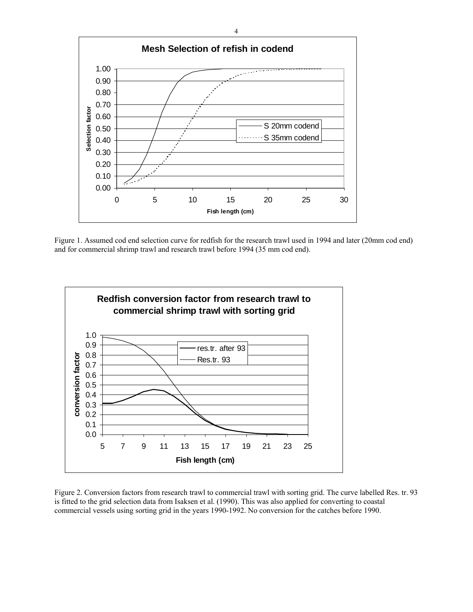

Figure 1. Assumed cod end selection curve for redfish for the research trawl used in 1994 and later (20mm cod end) and for commercial shrimp trawl and research trawl before 1994 (35 mm cod end).



Figure 2. Conversion factors from research trawl to commercial trawl with sorting grid. The curve labelled Res. tr. 93 is fitted to the grid selection data from Isaksen et al. (1990). This was also applied for converting to coastal commercial vessels using sorting grid in the years 1990-1992. No conversion for the catches before 1990.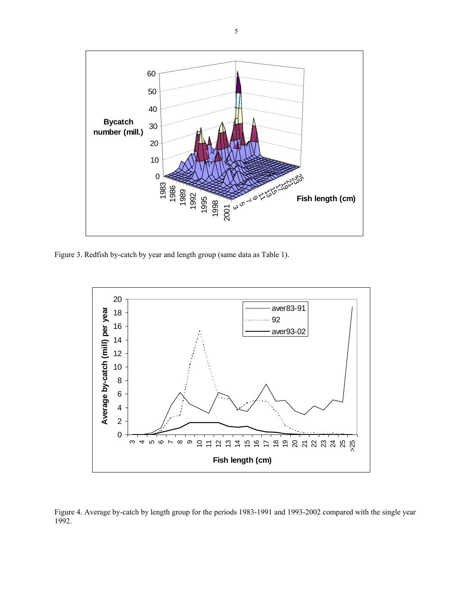

Figure 3. Redfish by-catch by year and length group (same data as Table 1).



Figure 4. Average by-catch by length group for the periods 1983-1991 and 1993-2002 compared with the single year 1992.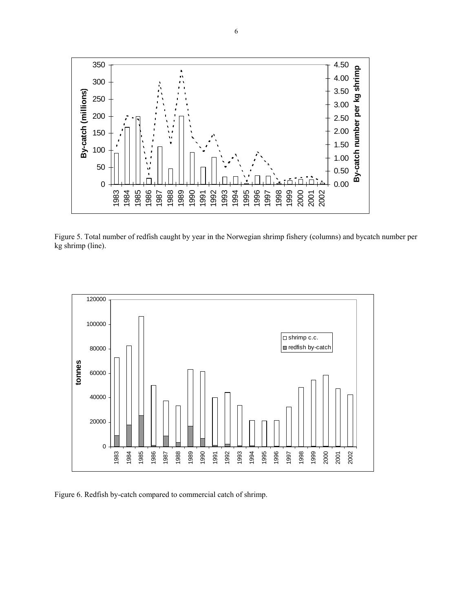

Figure 5. Total number of redfish caught by year in the Norwegian shrimp fishery (columns) and bycatch number per kg shrimp (line).



Figure 6. Redfish by-catch compared to commercial catch of shrimp.